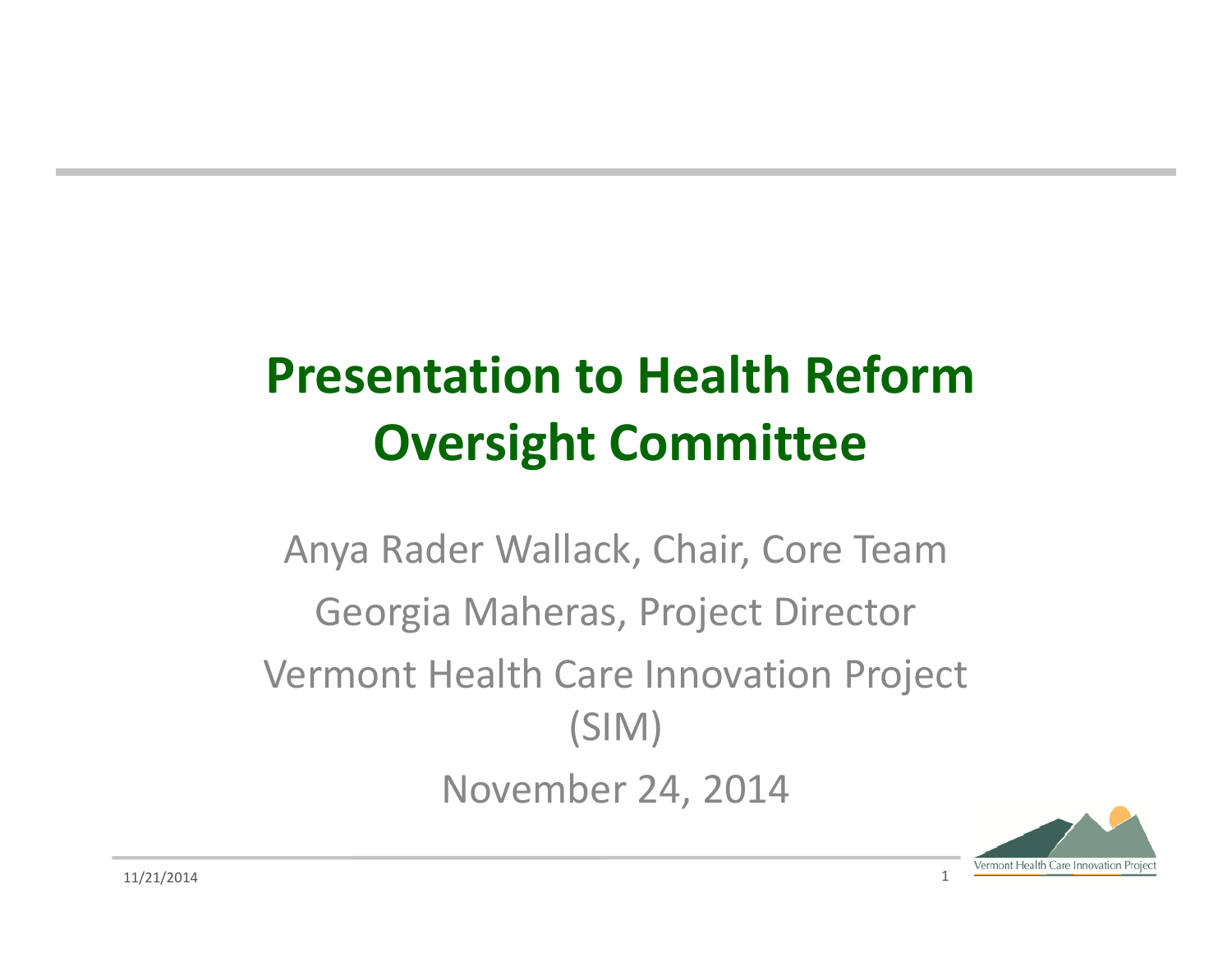# **Presentation to Health Reform Oversight Committee**

Anya Rader Wallack, Chair, Core Team Georgia Maheras, Project Director Vermont Health Care Innovation Project (SIM) November 24, 2014

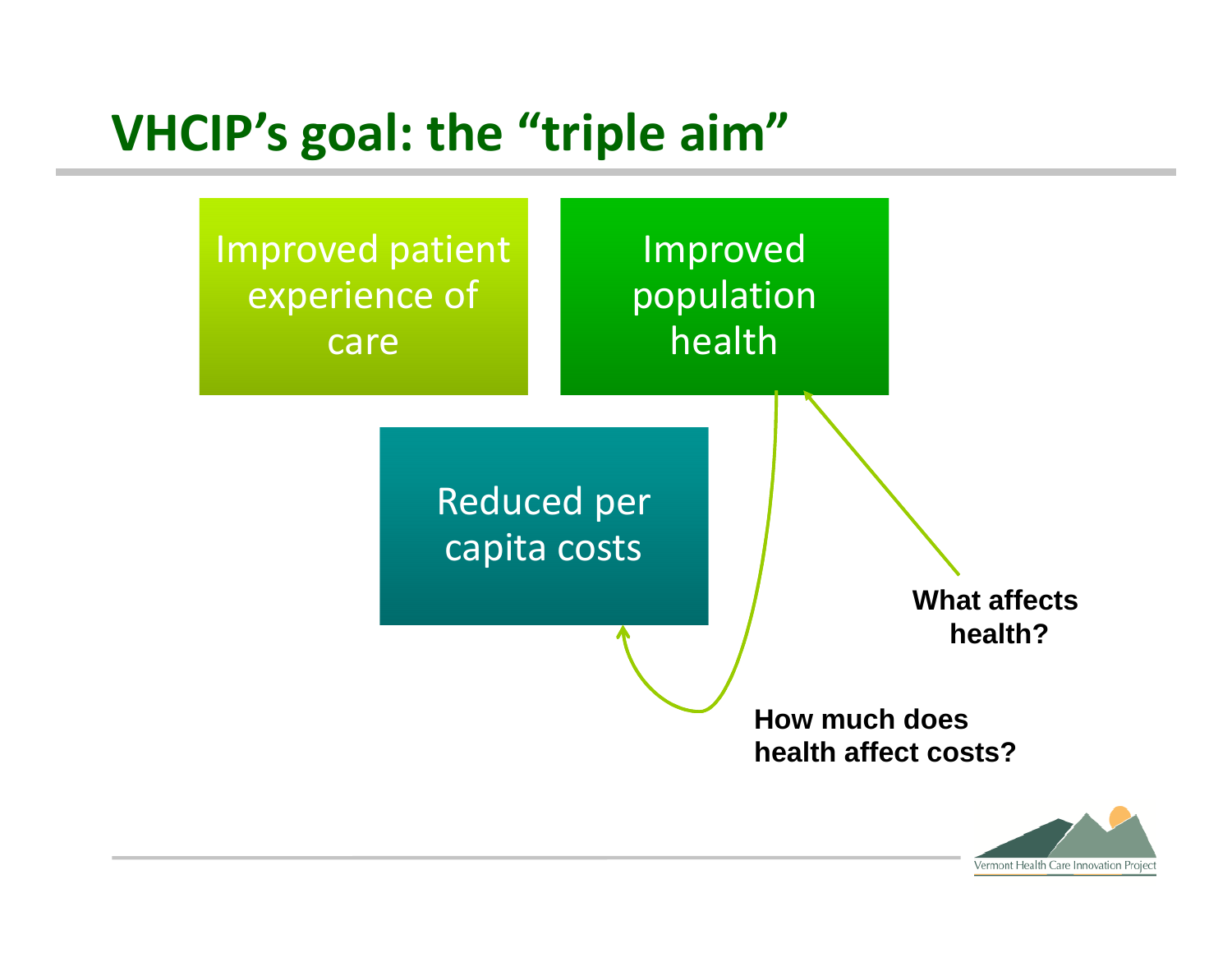#### **VHCIP's goal: the "triple aim"**



Vermont Health Care Innovation Project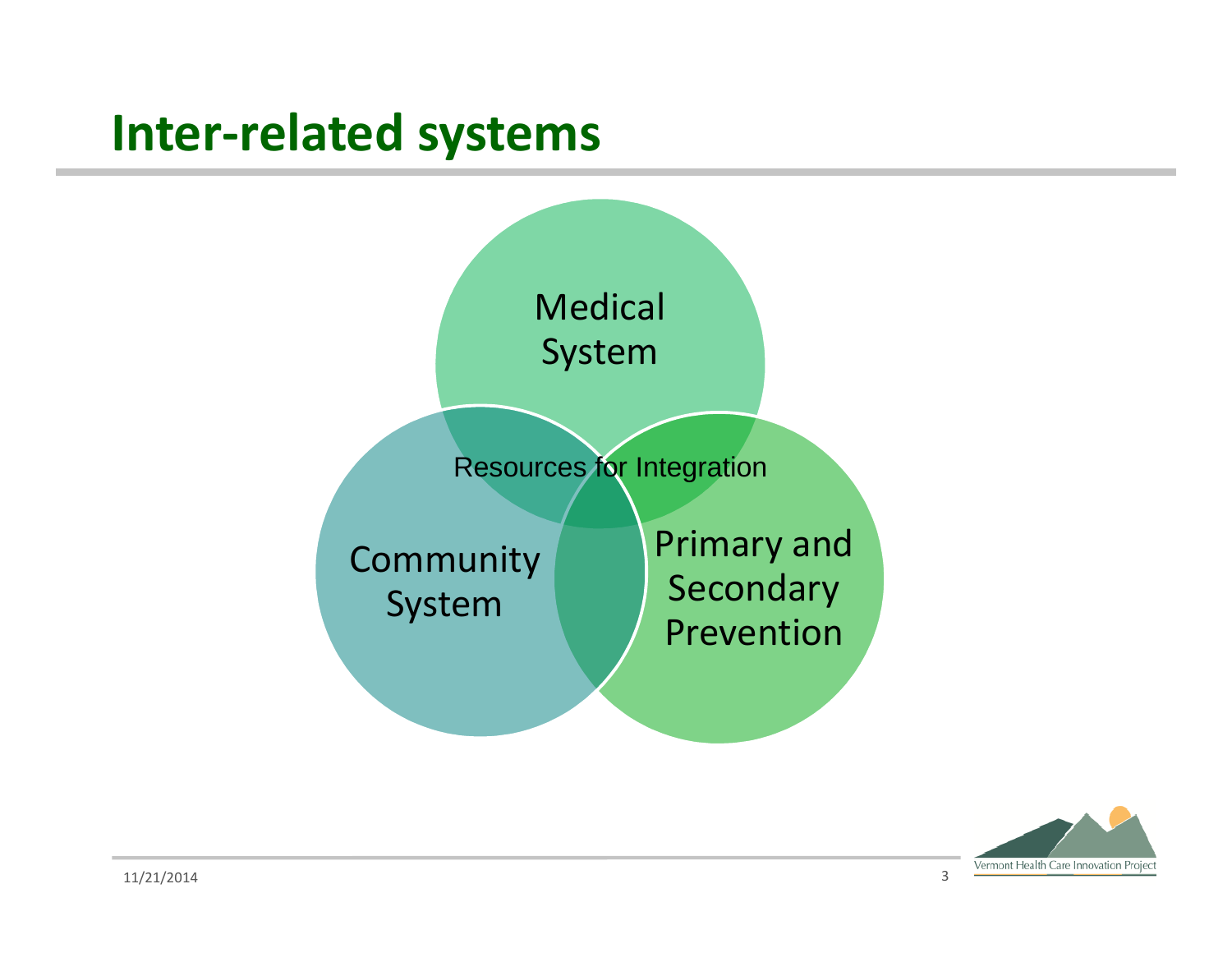#### **Inter-related systems**



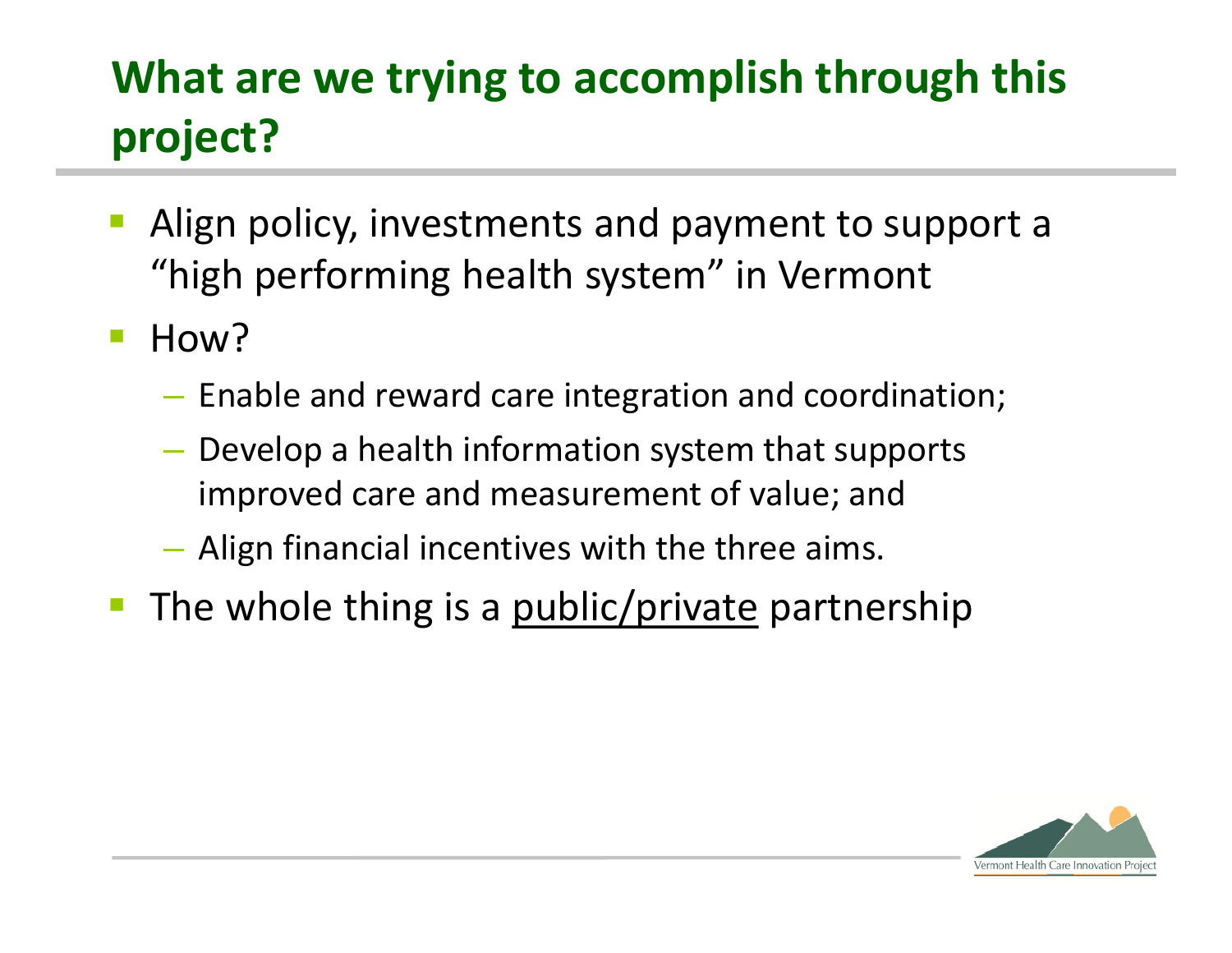## **What are we trying to accomplish through this project?**

- Align policy, investments and payment to support a "high performing health system" in Vermont
- **How?** 
	- Enable and reward care integration and coordination;
	- Develop a health information system that supports improved care and measurement of value; and
	- Align financial incentives with the three aims.
- The whole thing is a public/private partnership

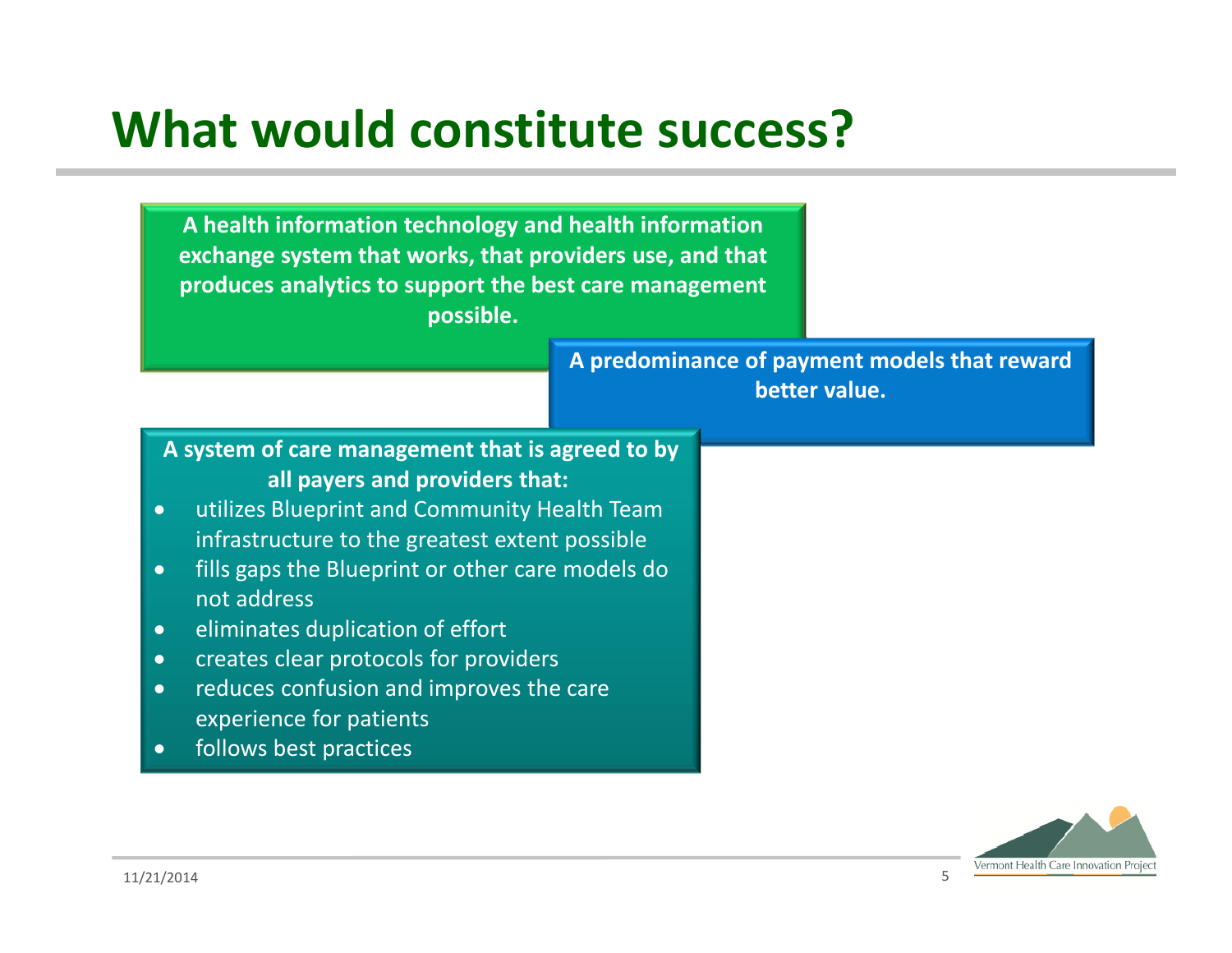## **What would constitute success?**

**A health information technology and health information exchange system that works, that providers use, and that produces analytics to support the best care management possible.**

> **A predominance of payment models that reward better value.**

- **A system of care management that is agreed to by all payers and providers that:**
- utilizes Blueprint and Community Health Team infrastructure to the greatest extent possible
- **•** fills gaps the Blueprint or other care models do not address
- eliminates duplication of effort
- creates clear protocols for providers
- reduces confusion and improves the care experience for patients
- follows best practices

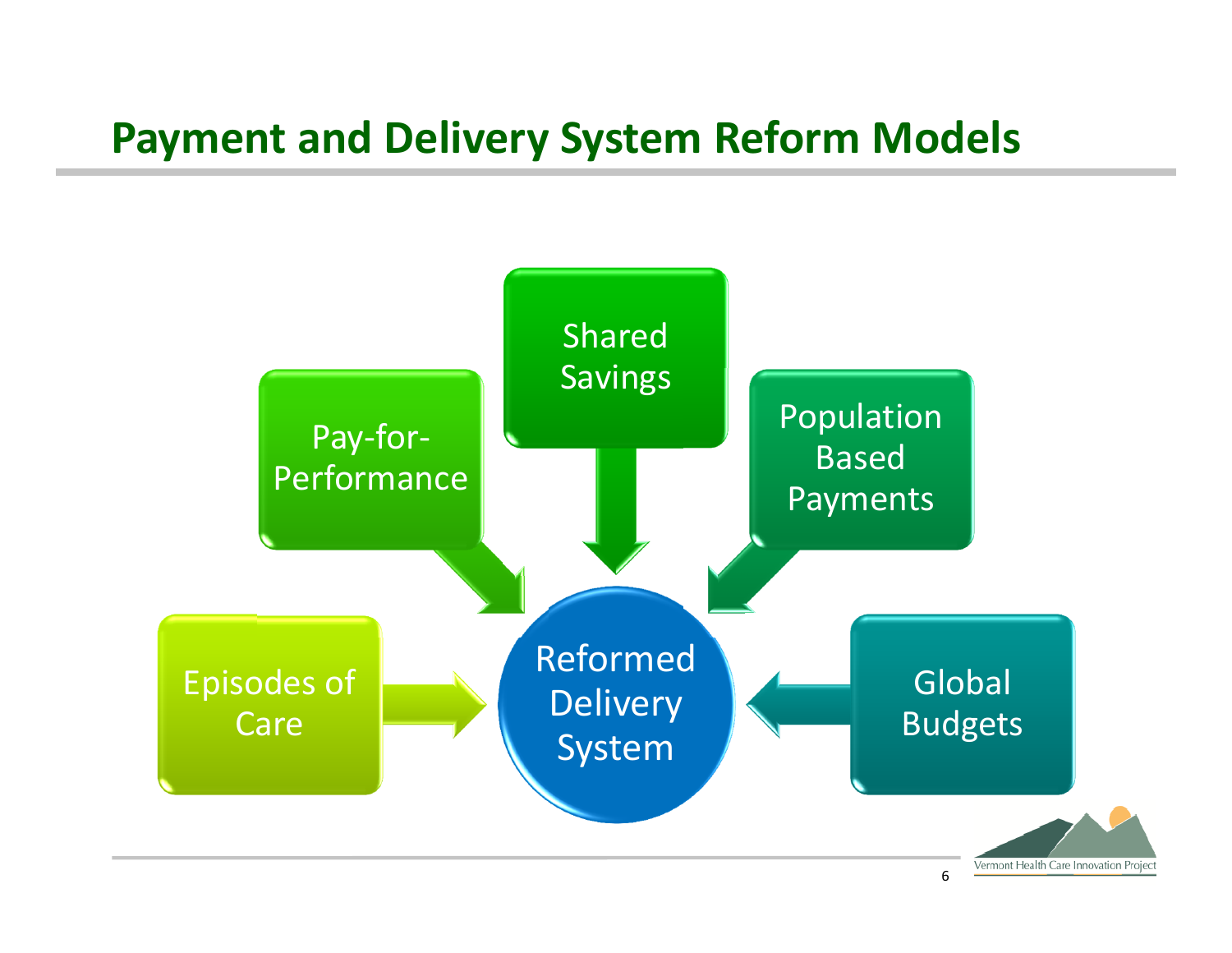#### **Payment and Delivery System Reform Models**

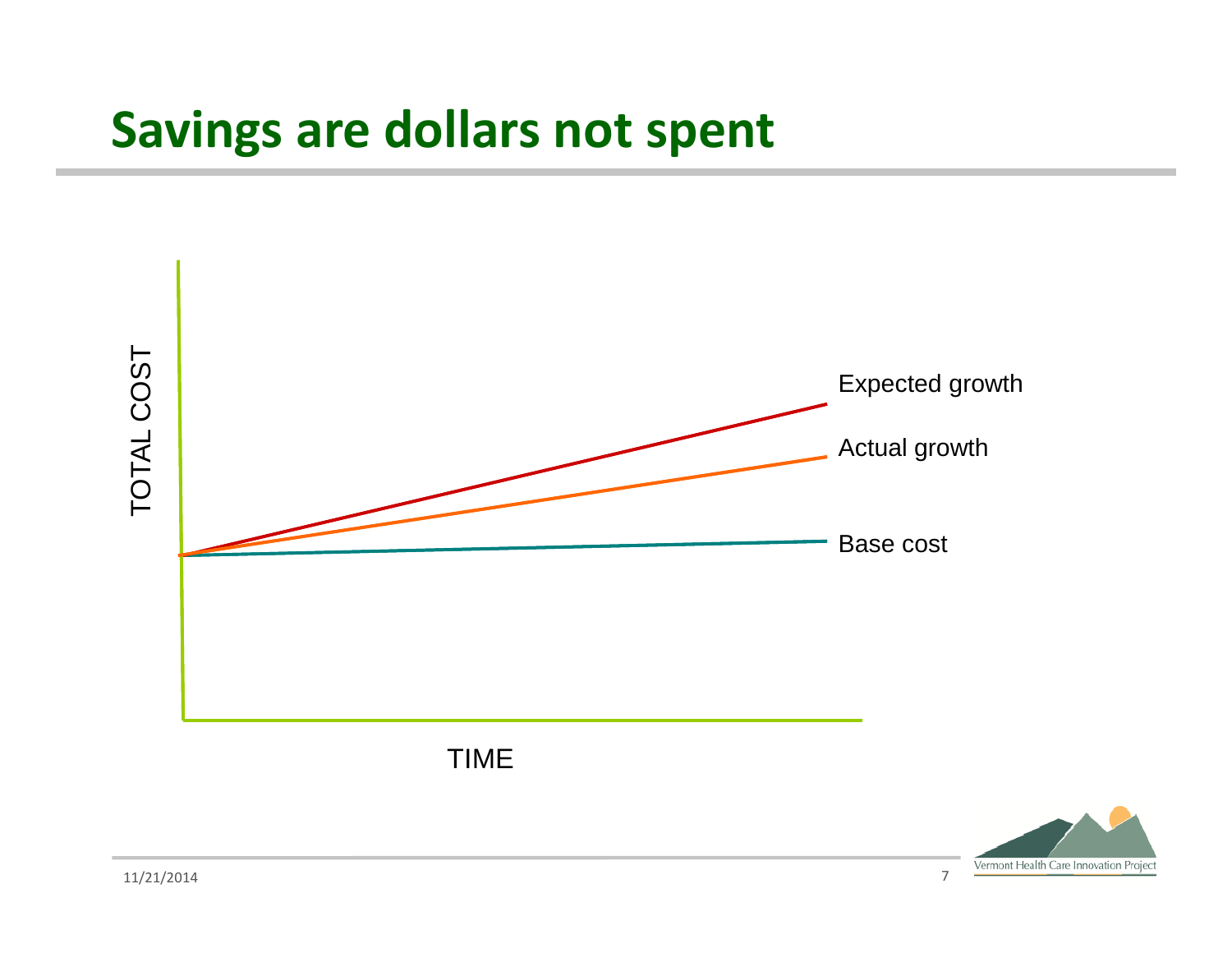#### **Savings are dollars not spent**



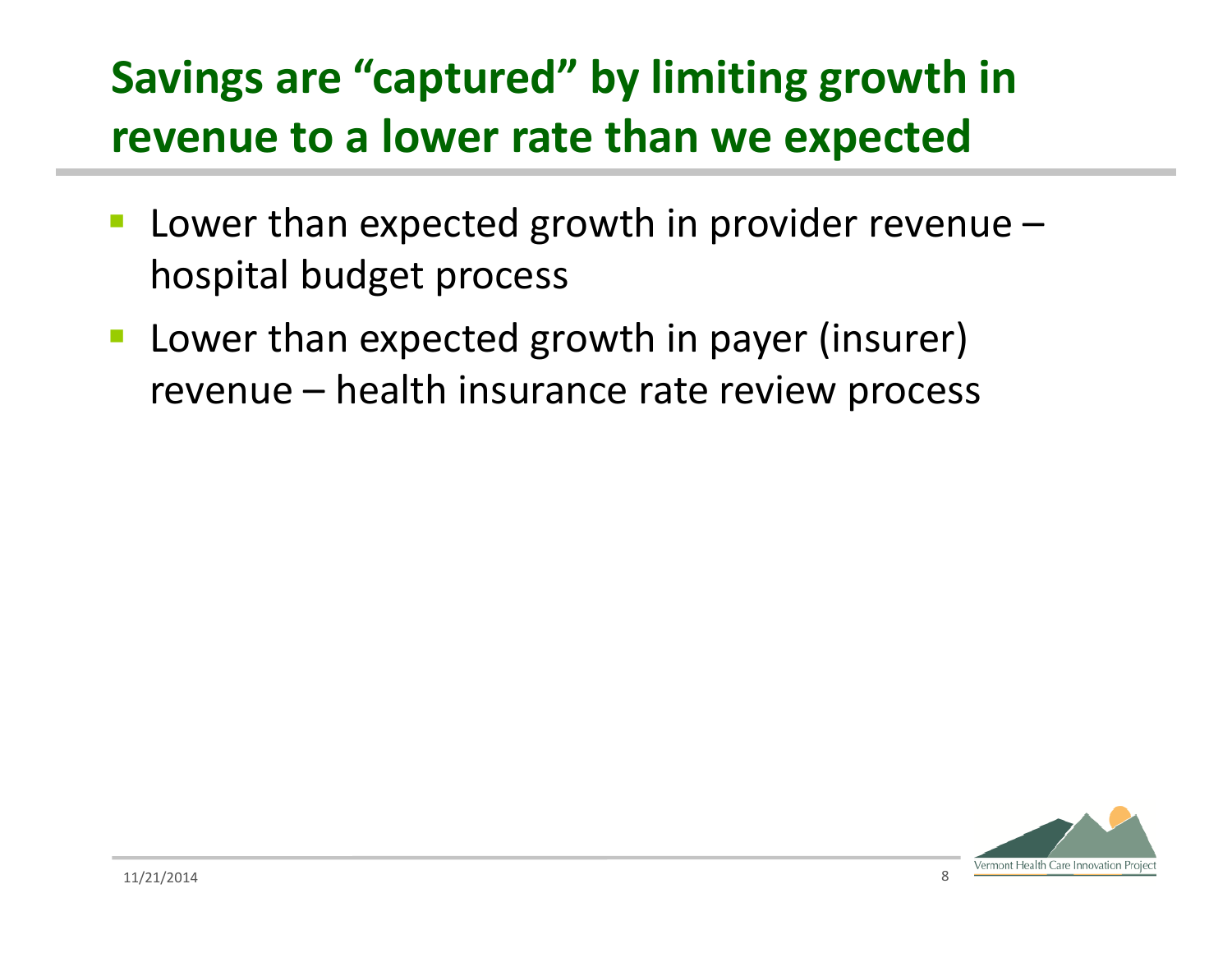#### **Savings are "captured" by limiting growth in revenue to a lower rate than we expected**

- **Lower than expected growth in provider revenue** hospital budget process
- **Lower than expected growth in payer (insurer)** revenue – health insurance rate review process

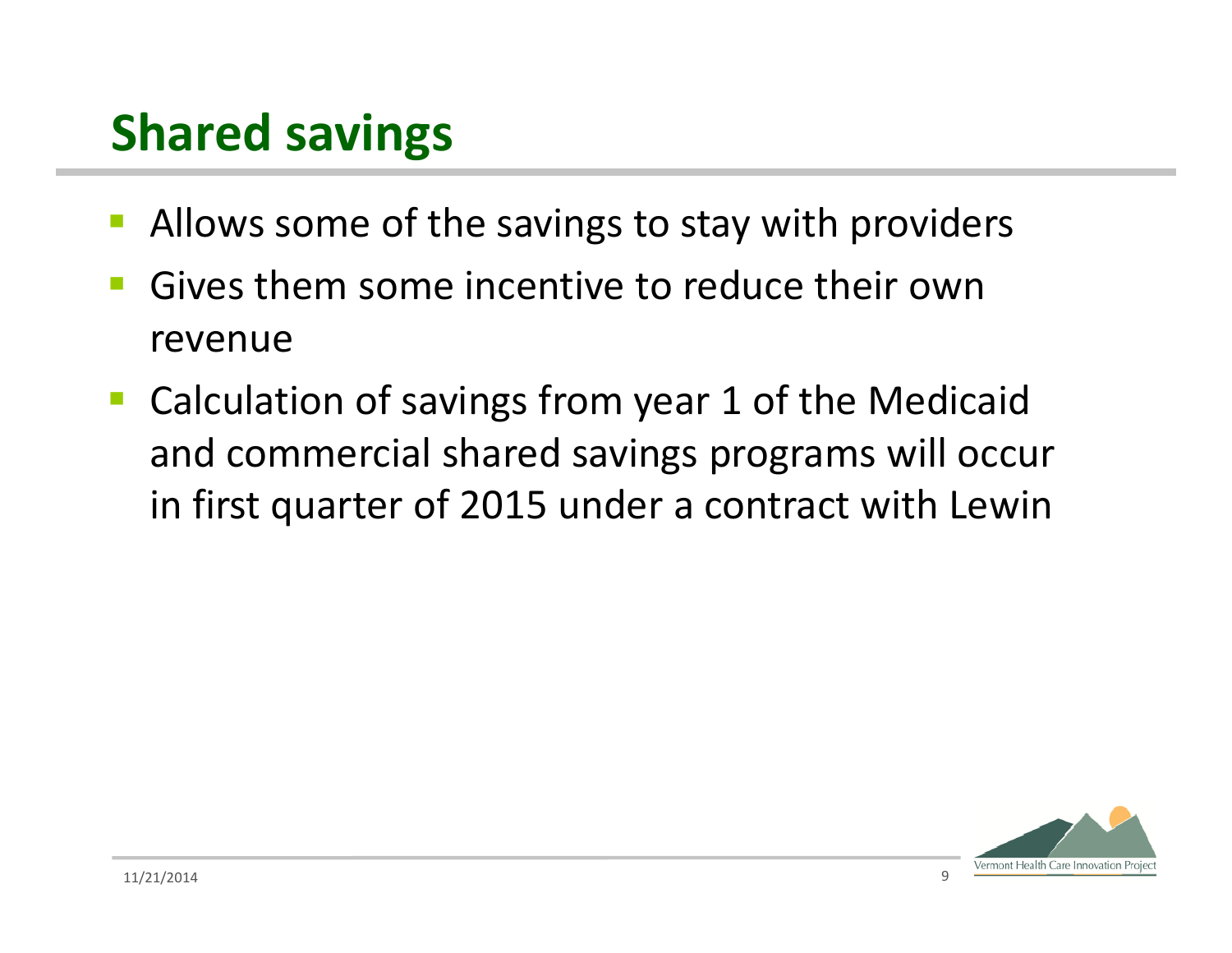## **Shared savings**

- Allows some of the savings to stay with providers
- **Gives them some incentive to reduce their own** revenue
- Calculation of savings from year 1 of the Medicaid and commercial shared savings programs will occur in first quarter of 2015 under a contract with Lewin

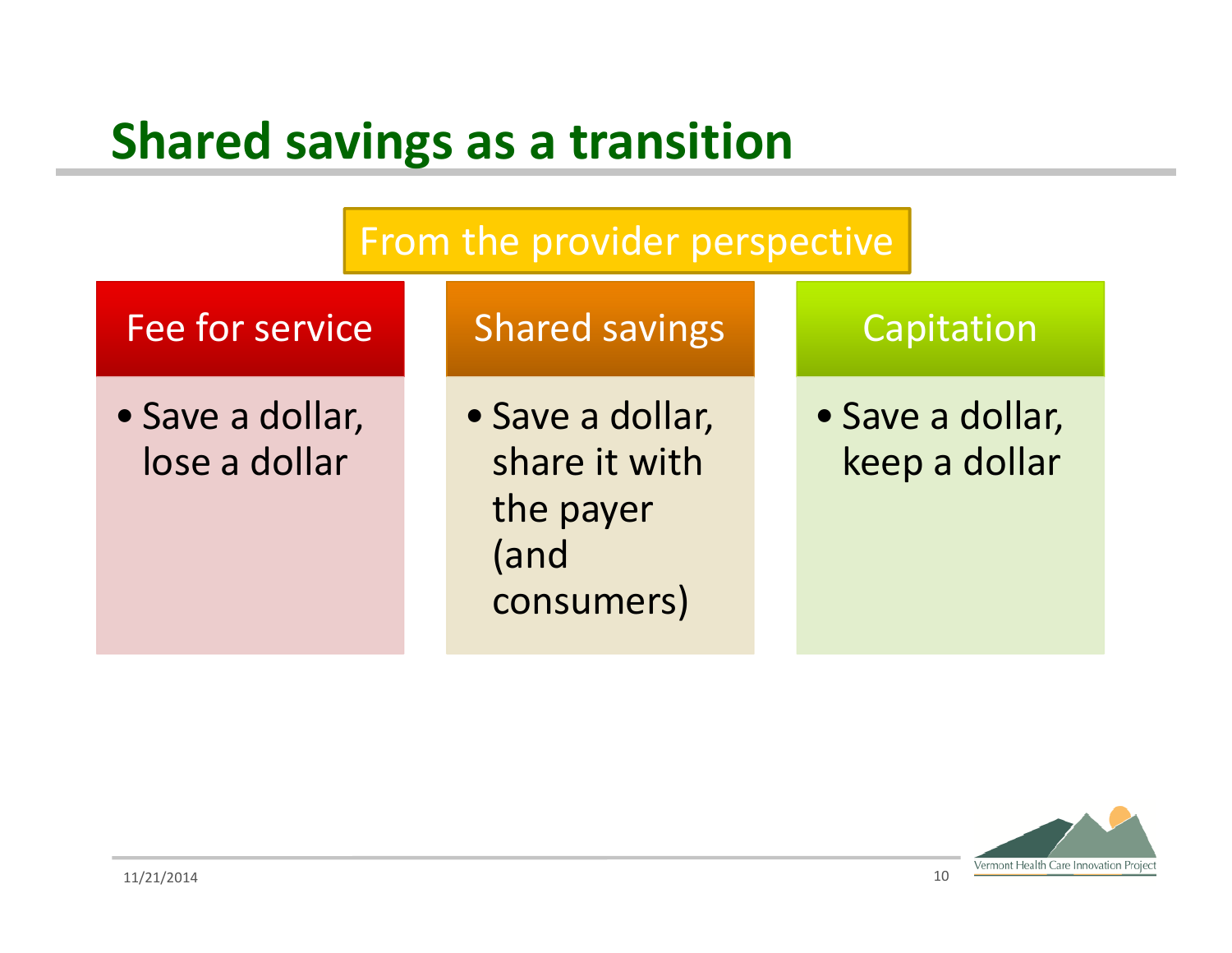#### **Shared savings as a transition**



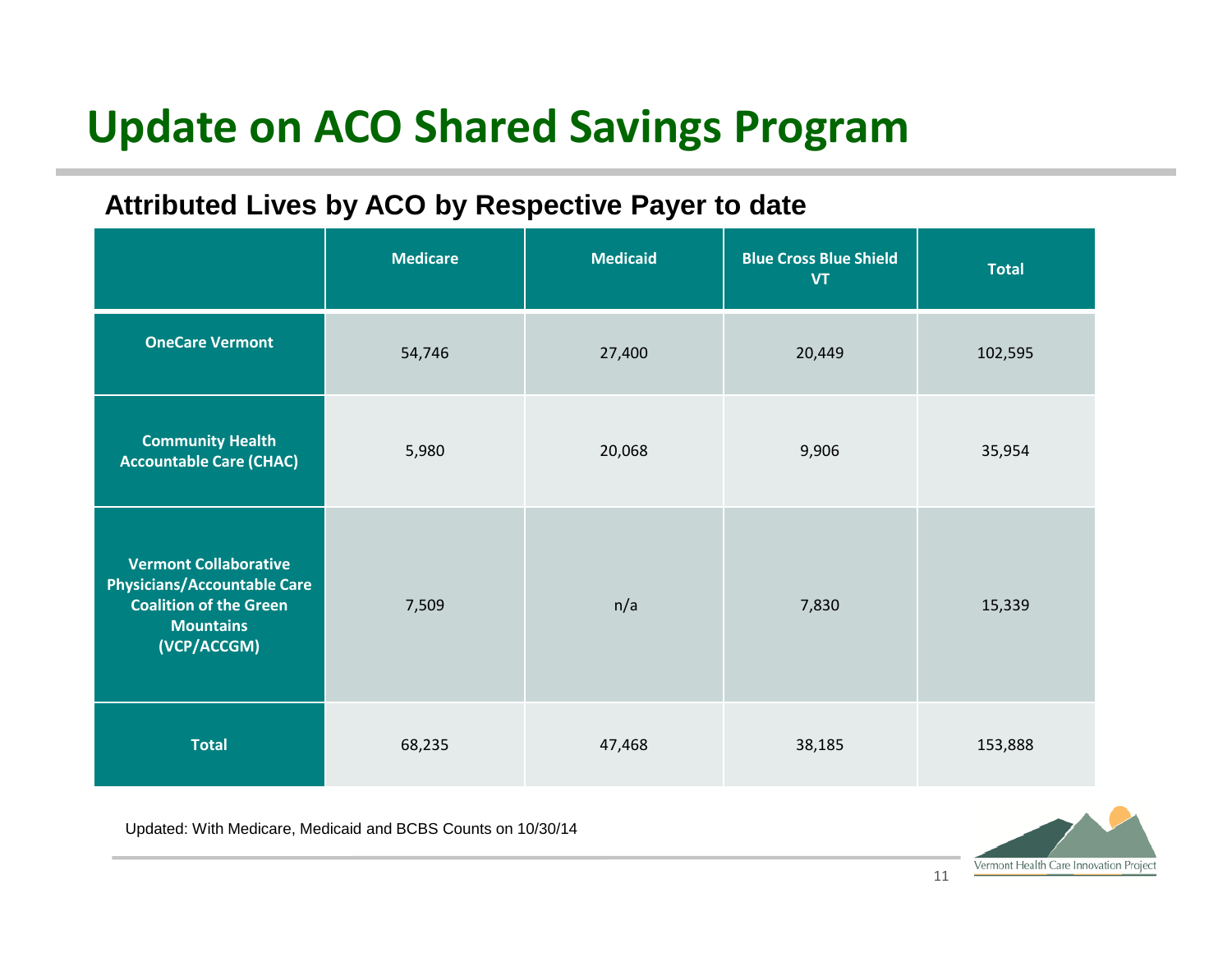#### **Update on ACO Shared Savings Program**

#### **Attributed Lives by ACO by Respective Payer to date**

|                                                                                                                                        | <b>Medicare</b> | <b>Medicaid</b> | <b>Blue Cross Blue Shield</b><br><b>VT</b> | <b>Total</b> |
|----------------------------------------------------------------------------------------------------------------------------------------|-----------------|-----------------|--------------------------------------------|--------------|
| <b>OneCare Vermont</b>                                                                                                                 | 54,746          | 27,400          | 20,449                                     | 102,595      |
| <b>Community Health</b><br><b>Accountable Care (CHAC)</b>                                                                              | 5,980           | 20,068          | 9,906                                      | 35,954       |
| <b>Vermont Collaborative</b><br><b>Physicians/Accountable Care</b><br><b>Coalition of the Green</b><br><b>Mountains</b><br>(VCP/ACCGM) | 7,509           | n/a             | 7,830                                      | 15,339       |
| <b>Total</b>                                                                                                                           | 68,235          | 47,468          | 38,185                                     | 153,888      |

Updated: With Medicare, Medicaid and BCBS Counts on 10/30/14